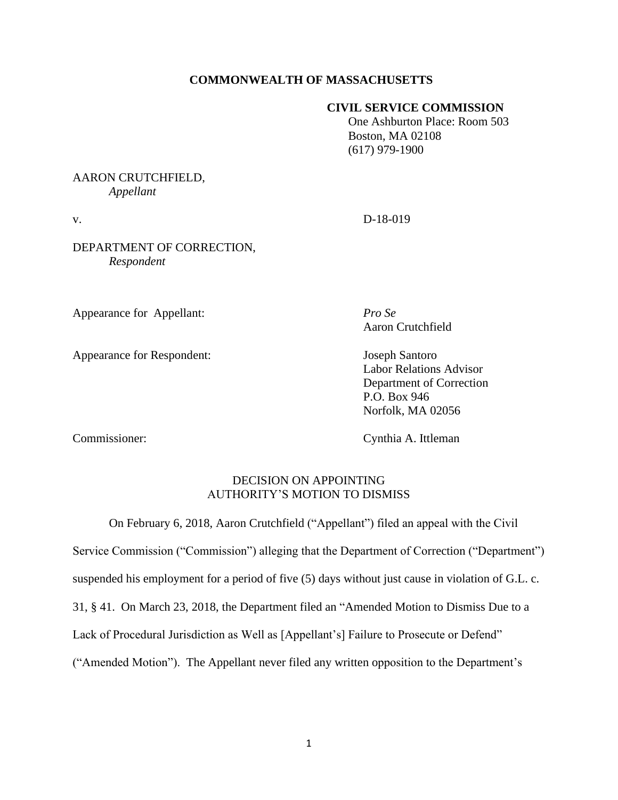## **COMMONWEALTH OF MASSACHUSETTS**

## **CIVIL SERVICE COMMISSION**

 One Ashburton Place: Room 503 Boston, MA 02108 (617) 979-1900

# AARON CRUTCHFIELD, *Appellant*

### DEPARTMENT OF CORRECTION, *Respondent*

Appearance for Appellant: *Pro Se*

Appearance for Respondent: Joseph Santoro

v. D-18-019

Aaron Crutchfield

Labor Relations Advisor Department of Correction P.O. Box 946 Norfolk, MA 02056

Commissioner: Cynthia A. Ittleman

## DECISION ON APPOINTING AUTHORITY'S MOTION TO DISMISS

On February 6, 2018, Aaron Crutchfield ("Appellant") filed an appeal with the Civil

Service Commission ("Commission") alleging that the Department of Correction ("Department")

suspended his employment for a period of five (5) days without just cause in violation of G.L. c.

31, § 41. On March 23, 2018, the Department filed an "Amended Motion to Dismiss Due to a

Lack of Procedural Jurisdiction as Well as [Appellant's] Failure to Prosecute or Defend"

("Amended Motion"). The Appellant never filed any written opposition to the Department's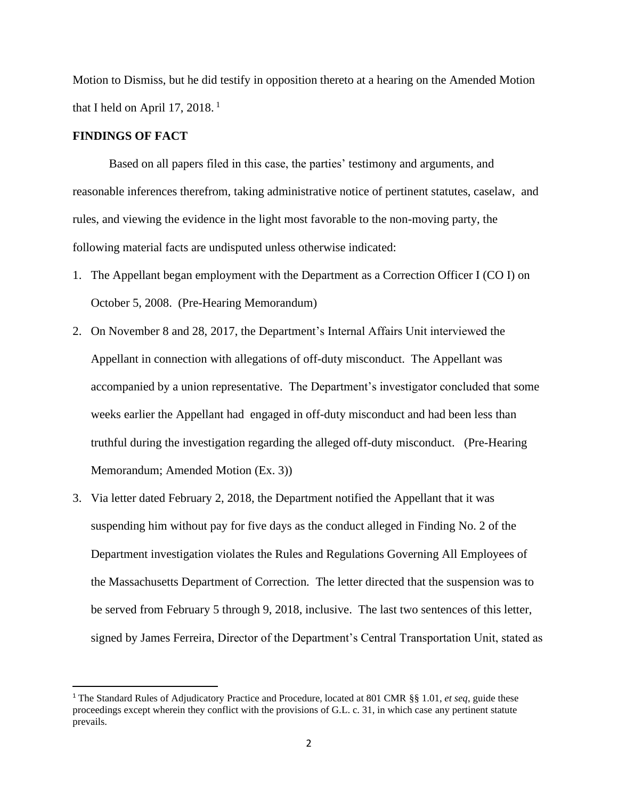Motion to Dismiss, but he did testify in opposition thereto at a hearing on the Amended Motion that I held on April 17, 2018. $<sup>1</sup>$ </sup>

#### **FINDINGS OF FACT**

Based on all papers filed in this case, the parties' testimony and arguments, and reasonable inferences therefrom, taking administrative notice of pertinent statutes, caselaw, and rules, and viewing the evidence in the light most favorable to the non-moving party, the following material facts are undisputed unless otherwise indicated:

- 1. The Appellant began employment with the Department as a Correction Officer I (CO I) on October 5, 2008. (Pre-Hearing Memorandum)
- 2. On November 8 and 28, 2017, the Department's Internal Affairs Unit interviewed the Appellant in connection with allegations of off-duty misconduct. The Appellant was accompanied by a union representative. The Department's investigator concluded that some weeks earlier the Appellant had engaged in off-duty misconduct and had been less than truthful during the investigation regarding the alleged off-duty misconduct. (Pre-Hearing Memorandum; Amended Motion (Ex. 3))
- 3. Via letter dated February 2, 2018, the Department notified the Appellant that it was suspending him without pay for five days as the conduct alleged in Finding No. 2 of the Department investigation violates the Rules and Regulations Governing All Employees of the Massachusetts Department of Correction*.* The letter directed that the suspension was to be served from February 5 through 9, 2018, inclusive. The last two sentences of this letter, signed by James Ferreira, Director of the Department's Central Transportation Unit, stated as

<sup>1</sup> The Standard Rules of Adjudicatory Practice and Procedure, located at 801 CMR §§ 1.01, *et seq*, guide these proceedings except wherein they conflict with the provisions of G.L. c. 31, in which case any pertinent statute prevails.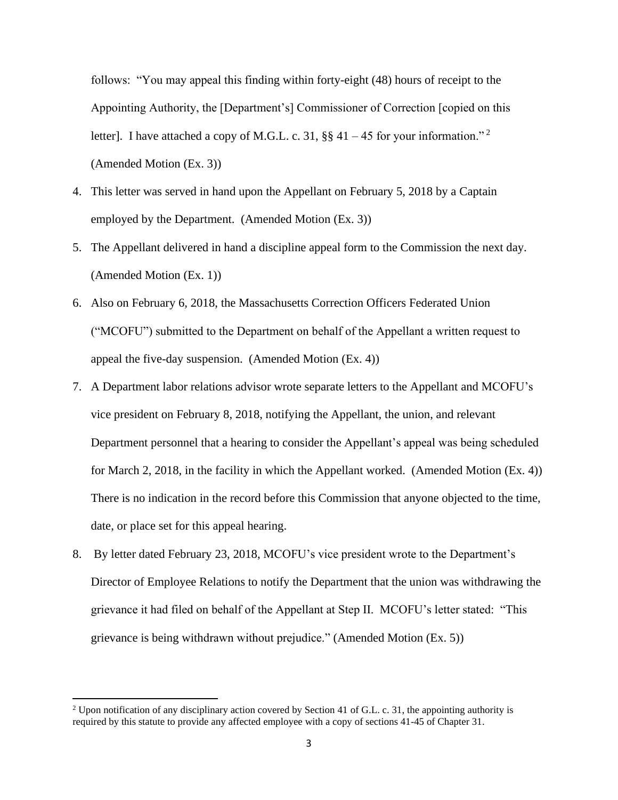follows: "You may appeal this finding within forty-eight (48) hours of receipt to the Appointing Authority, the [Department's] Commissioner of Correction [copied on this letter]. I have attached a copy of M.G.L. c. 31,  $\S$  41 – 45 for your information."<sup>2</sup> (Amended Motion (Ex. 3))

- 4. This letter was served in hand upon the Appellant on February 5, 2018 by a Captain employed by the Department. (Amended Motion (Ex. 3))
- 5. The Appellant delivered in hand a discipline appeal form to the Commission the next day. (Amended Motion (Ex. 1))
- 6. Also on February 6, 2018, the Massachusetts Correction Officers Federated Union ("MCOFU") submitted to the Department on behalf of the Appellant a written request to appeal the five-day suspension. (Amended Motion (Ex. 4))
- 7. A Department labor relations advisor wrote separate letters to the Appellant and MCOFU's vice president on February 8, 2018, notifying the Appellant, the union, and relevant Department personnel that a hearing to consider the Appellant's appeal was being scheduled for March 2, 2018, in the facility in which the Appellant worked. (Amended Motion (Ex. 4)) There is no indication in the record before this Commission that anyone objected to the time, date, or place set for this appeal hearing.
- 8. By letter dated February 23, 2018, MCOFU's vice president wrote to the Department's Director of Employee Relations to notify the Department that the union was withdrawing the grievance it had filed on behalf of the Appellant at Step II. MCOFU's letter stated: "This grievance is being withdrawn without prejudice." (Amended Motion (Ex. 5))

<sup>&</sup>lt;sup>2</sup> Upon notification of any disciplinary action covered by Section 41 of G.L. c. 31, the appointing authority is required by this statute to provide any affected employee with a copy of sections 41-45 of Chapter 31.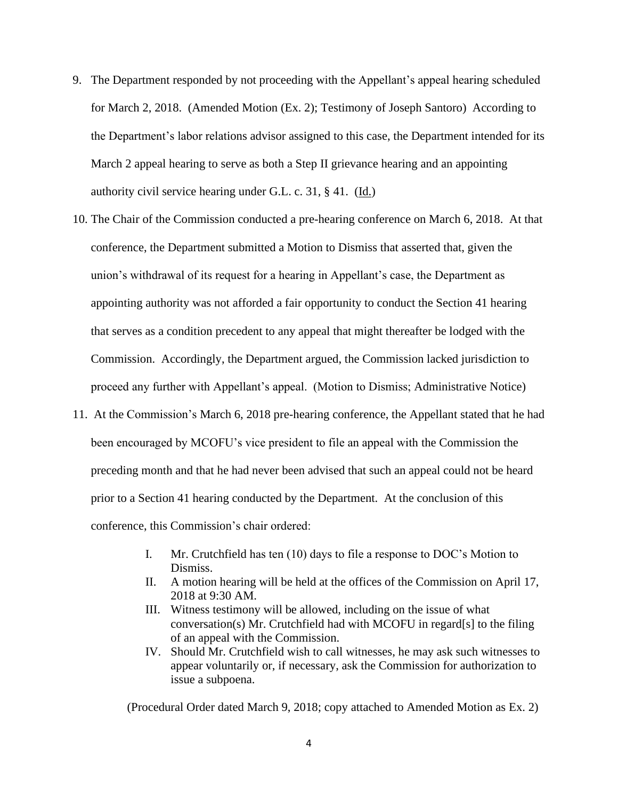- 9. The Department responded by not proceeding with the Appellant's appeal hearing scheduled for March 2, 2018. (Amended Motion (Ex. 2); Testimony of Joseph Santoro) According to the Department's labor relations advisor assigned to this case, the Department intended for its March 2 appeal hearing to serve as both a Step II grievance hearing and an appointing authority civil service hearing under G.L. c. 31, § 41. (Id.)
- 10. The Chair of the Commission conducted a pre-hearing conference on March 6, 2018. At that conference, the Department submitted a Motion to Dismiss that asserted that, given the union's withdrawal of its request for a hearing in Appellant's case, the Department as appointing authority was not afforded a fair opportunity to conduct the Section 41 hearing that serves as a condition precedent to any appeal that might thereafter be lodged with the Commission. Accordingly, the Department argued, the Commission lacked jurisdiction to proceed any further with Appellant's appeal. (Motion to Dismiss; Administrative Notice)
- 11. At the Commission's March 6, 2018 pre-hearing conference, the Appellant stated that he had been encouraged by MCOFU's vice president to file an appeal with the Commission the preceding month and that he had never been advised that such an appeal could not be heard prior to a Section 41 hearing conducted by the Department. At the conclusion of this conference, this Commission's chair ordered:
	- I. Mr. Crutchfield has ten (10) days to file a response to DOC's Motion to Dismiss.
	- II. A motion hearing will be held at the offices of the Commission on April 17, 2018 at 9:30 AM.
	- III. Witness testimony will be allowed, including on the issue of what conversation(s) Mr. Crutchfield had with MCOFU in regard[s] to the filing of an appeal with the Commission.
	- IV. Should Mr. Crutchfield wish to call witnesses, he may ask such witnesses to appear voluntarily or, if necessary, ask the Commission for authorization to issue a subpoena.

(Procedural Order dated March 9, 2018; copy attached to Amended Motion as Ex. 2)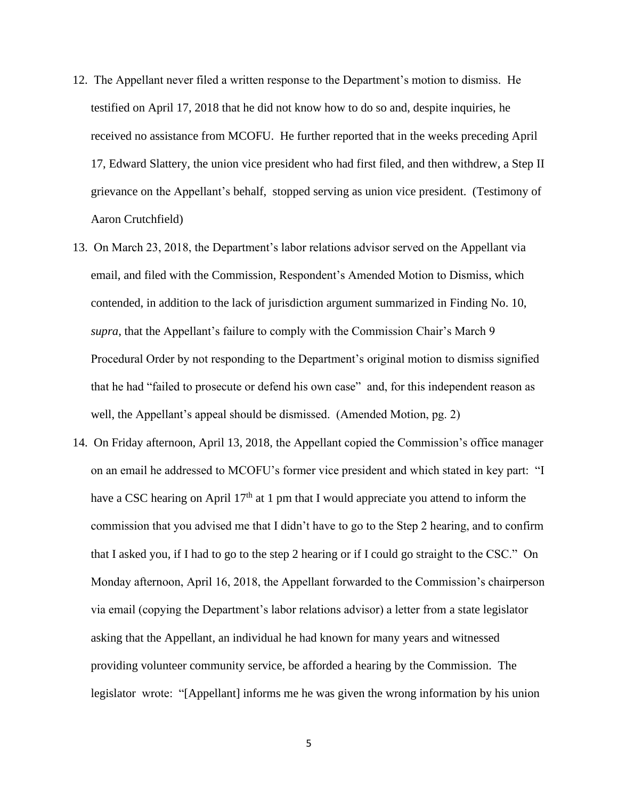- 12. The Appellant never filed a written response to the Department's motion to dismiss. He testified on April 17, 2018 that he did not know how to do so and, despite inquiries, he received no assistance from MCOFU. He further reported that in the weeks preceding April 17, Edward Slattery, the union vice president who had first filed, and then withdrew, a Step II grievance on the Appellant's behalf, stopped serving as union vice president. (Testimony of Aaron Crutchfield)
- 13. On March 23, 2018, the Department's labor relations advisor served on the Appellant via email, and filed with the Commission, Respondent's Amended Motion to Dismiss, which contended, in addition to the lack of jurisdiction argument summarized in Finding No. 10, *supra*, that the Appellant's failure to comply with the Commission Chair's March 9 Procedural Order by not responding to the Department's original motion to dismiss signified that he had "failed to prosecute or defend his own case" and, for this independent reason as well, the Appellant's appeal should be dismissed. (Amended Motion, pg. 2)
- 14. On Friday afternoon, April 13, 2018, the Appellant copied the Commission's office manager on an email he addressed to MCOFU's former vice president and which stated in key part: "I have a CSC hearing on April  $17<sup>th</sup>$  at 1 pm that I would appreciate you attend to inform the commission that you advised me that I didn't have to go to the Step 2 hearing, and to confirm that I asked you, if I had to go to the step 2 hearing or if I could go straight to the CSC." On Monday afternoon, April 16, 2018, the Appellant forwarded to the Commission's chairperson via email (copying the Department's labor relations advisor) a letter from a state legislator asking that the Appellant, an individual he had known for many years and witnessed providing volunteer community service, be afforded a hearing by the Commission. The legislator wrote: "[Appellant] informs me he was given the wrong information by his union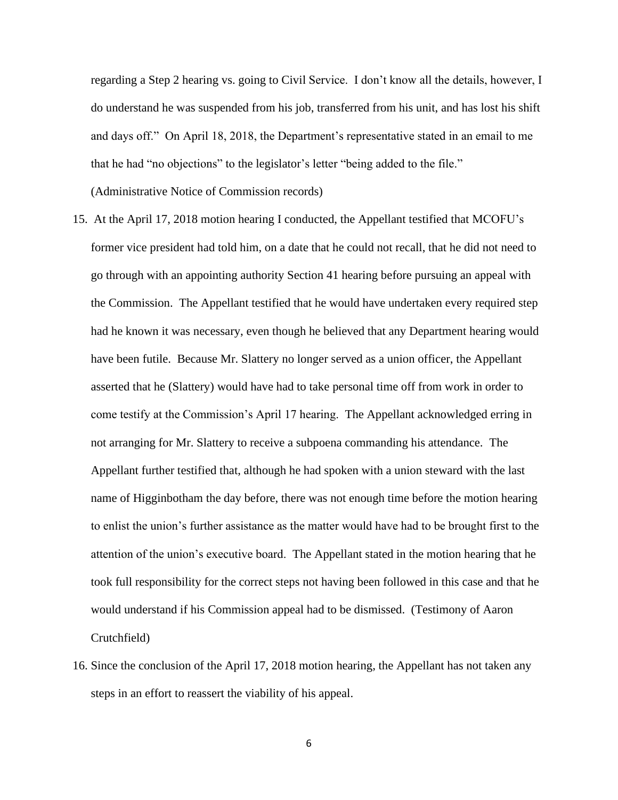regarding a Step 2 hearing vs. going to Civil Service. I don't know all the details, however, I do understand he was suspended from his job, transferred from his unit, and has lost his shift and days off." On April 18, 2018, the Department's representative stated in an email to me that he had "no objections" to the legislator's letter "being added to the file."

(Administrative Notice of Commission records)

- 15. At the April 17, 2018 motion hearing I conducted, the Appellant testified that MCOFU's former vice president had told him, on a date that he could not recall, that he did not need to go through with an appointing authority Section 41 hearing before pursuing an appeal with the Commission. The Appellant testified that he would have undertaken every required step had he known it was necessary, even though he believed that any Department hearing would have been futile. Because Mr. Slattery no longer served as a union officer, the Appellant asserted that he (Slattery) would have had to take personal time off from work in order to come testify at the Commission's April 17 hearing. The Appellant acknowledged erring in not arranging for Mr. Slattery to receive a subpoena commanding his attendance. The Appellant further testified that, although he had spoken with a union steward with the last name of Higginbotham the day before, there was not enough time before the motion hearing to enlist the union's further assistance as the matter would have had to be brought first to the attention of the union's executive board. The Appellant stated in the motion hearing that he took full responsibility for the correct steps not having been followed in this case and that he would understand if his Commission appeal had to be dismissed. (Testimony of Aaron Crutchfield)
- 16. Since the conclusion of the April 17, 2018 motion hearing, the Appellant has not taken any steps in an effort to reassert the viability of his appeal.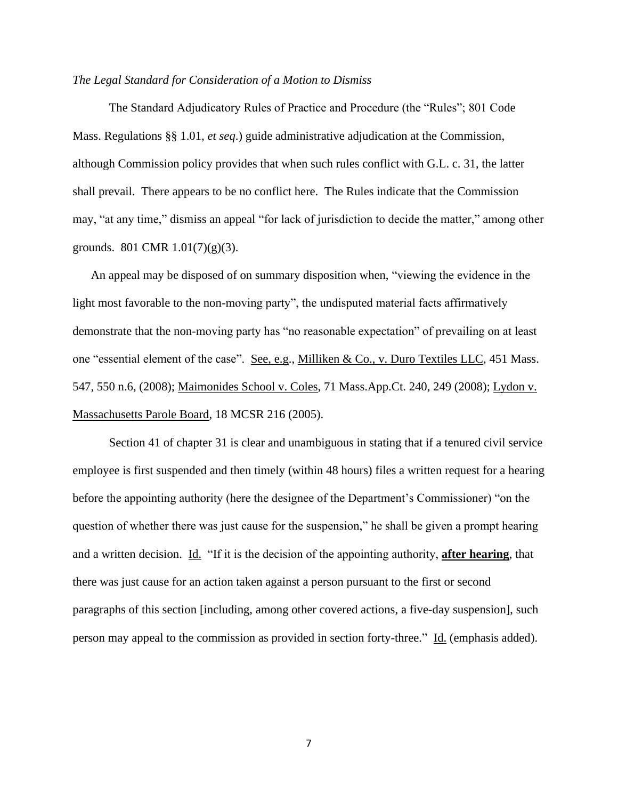#### *The Legal Standard for Consideration of a Motion to Dismiss*

The Standard Adjudicatory Rules of Practice and Procedure (the "Rules"; 801 Code Mass. Regulations §§ 1.01, *et seq*.) guide administrative adjudication at the Commission, although Commission policy provides that when such rules conflict with G.L. c. 31, the latter shall prevail. There appears to be no conflict here. The Rules indicate that the Commission may, "at any time," dismiss an appeal "for lack of jurisdiction to decide the matter," among other grounds. 801 CMR  $1.01(7)(g)(3)$ .

An appeal may be disposed of on summary disposition when, "viewing the evidence in the light most favorable to the non-moving party", the undisputed material facts affirmatively demonstrate that the non-moving party has "no reasonable expectation" of prevailing on at least one "essential element of the case". See, e.g., Milliken & Co., v. Duro Textiles LLC, 451 Mass. 547, 550 n.6, (2008); Maimonides School v. Coles, 71 Mass.App.Ct. 240, 249 (2008); Lydon v. Massachusetts Parole Board, 18 MCSR 216 (2005).

Section 41 of chapter 31 is clear and unambiguous in stating that if a tenured civil service employee is first suspended and then timely (within 48 hours) files a written request for a hearing before the appointing authority (here the designee of the Department's Commissioner) "on the question of whether there was just cause for the suspension," he shall be given a prompt hearing and a written decision. Id. "If it is the decision of the appointing authority, **after hearing**, that there was just cause for an action taken against a person pursuant to the first or second paragraphs of this section [including, among other covered actions, a five-day suspension], such person may appeal to the commission as provided in section forty-three." Id. (emphasis added).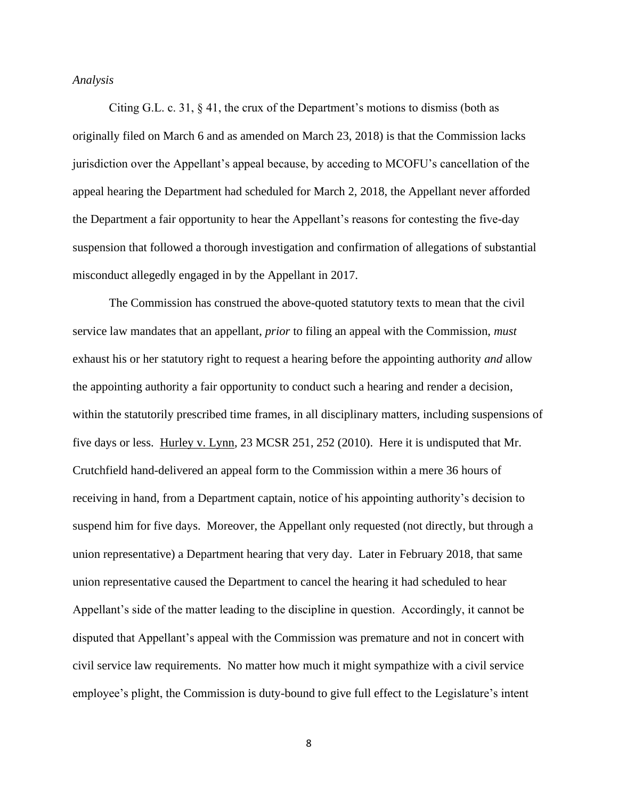### *Analysis*

Citing G.L. c. 31, § 41, the crux of the Department's motions to dismiss (both as originally filed on March 6 and as amended on March 23, 2018) is that the Commission lacks jurisdiction over the Appellant's appeal because, by acceding to MCOFU's cancellation of the appeal hearing the Department had scheduled for March 2, 2018, the Appellant never afforded the Department a fair opportunity to hear the Appellant's reasons for contesting the five-day suspension that followed a thorough investigation and confirmation of allegations of substantial misconduct allegedly engaged in by the Appellant in 2017.

The Commission has construed the above-quoted statutory texts to mean that the civil service law mandates that an appellant, *prior* to filing an appeal with the Commission, *must*  exhaust his or her statutory right to request a hearing before the appointing authority *and* allow the appointing authority a fair opportunity to conduct such a hearing and render a decision, within the statutorily prescribed time frames, in all disciplinary matters, including suspensions of five days or less. Hurley v. Lynn, 23 MCSR 251, 252 (2010). Here it is undisputed that Mr. Crutchfield hand-delivered an appeal form to the Commission within a mere 36 hours of receiving in hand, from a Department captain, notice of his appointing authority's decision to suspend him for five days. Moreover, the Appellant only requested (not directly, but through a union representative) a Department hearing that very day. Later in February 2018, that same union representative caused the Department to cancel the hearing it had scheduled to hear Appellant's side of the matter leading to the discipline in question. Accordingly, it cannot be disputed that Appellant's appeal with the Commission was premature and not in concert with civil service law requirements. No matter how much it might sympathize with a civil service employee's plight, the Commission is duty-bound to give full effect to the Legislature's intent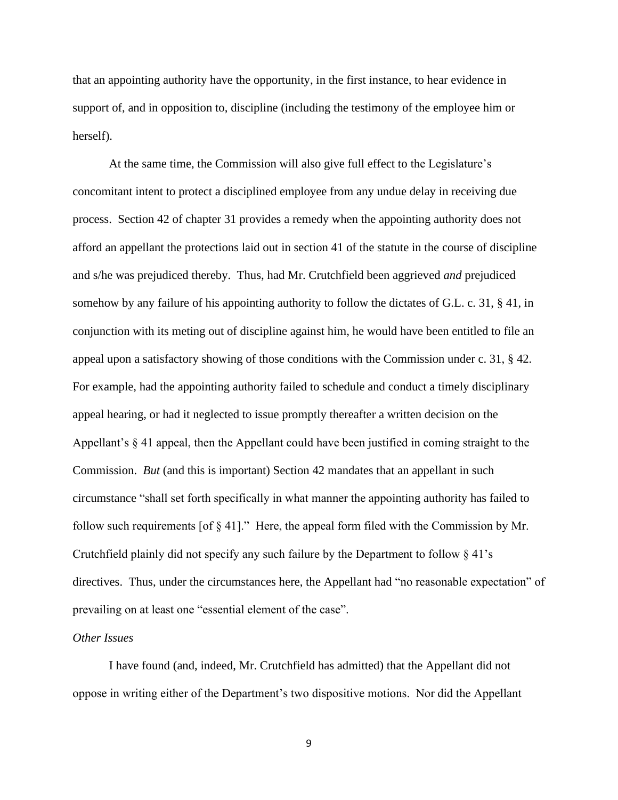that an appointing authority have the opportunity, in the first instance, to hear evidence in support of, and in opposition to, discipline (including the testimony of the employee him or herself).

At the same time, the Commission will also give full effect to the Legislature's concomitant intent to protect a disciplined employee from any undue delay in receiving due process. Section 42 of chapter 31 provides a remedy when the appointing authority does not afford an appellant the protections laid out in section 41 of the statute in the course of discipline and s/he was prejudiced thereby. Thus, had Mr. Crutchfield been aggrieved *and* prejudiced somehow by any failure of his appointing authority to follow the dictates of G.L. c. 31, § 41, in conjunction with its meting out of discipline against him, he would have been entitled to file an appeal upon a satisfactory showing of those conditions with the Commission under c. 31, § 42. For example, had the appointing authority failed to schedule and conduct a timely disciplinary appeal hearing, or had it neglected to issue promptly thereafter a written decision on the Appellant's § 41 appeal, then the Appellant could have been justified in coming straight to the Commission. *But* (and this is important) Section 42 mandates that an appellant in such circumstance "shall set forth specifically in what manner the appointing authority has failed to follow such requirements [of § 41]." Here, the appeal form filed with the Commission by Mr. Crutchfield plainly did not specify any such failure by the Department to follow § 41's directives. Thus, under the circumstances here, the Appellant had "no reasonable expectation" of prevailing on at least one "essential element of the case".

#### *Other Issues*

I have found (and, indeed, Mr. Crutchfield has admitted) that the Appellant did not oppose in writing either of the Department's two dispositive motions. Nor did the Appellant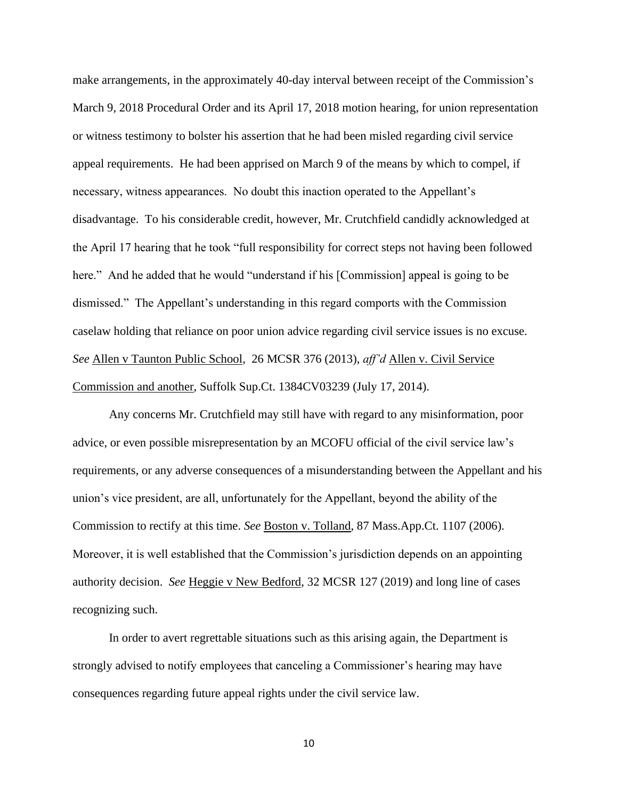make arrangements, in the approximately 40-day interval between receipt of the Commission's March 9, 2018 Procedural Order and its April 17, 2018 motion hearing, for union representation or witness testimony to bolster his assertion that he had been misled regarding civil service appeal requirements. He had been apprised on March 9 of the means by which to compel, if necessary, witness appearances. No doubt this inaction operated to the Appellant's disadvantage. To his considerable credit, however, Mr. Crutchfield candidly acknowledged at the April 17 hearing that he took "full responsibility for correct steps not having been followed here." And he added that he would "understand if his [Commission] appeal is going to be dismissed." The Appellant's understanding in this regard comports with the Commission caselaw holding that reliance on poor union advice regarding civil service issues is no excuse. *See* Allen v Taunton Public School, 26 MCSR 376 (2013), *aff'd* Allen v. Civil Service Commission and another, Suffolk Sup.Ct. 1384CV03239 (July 17, 2014).

Any concerns Mr. Crutchfield may still have with regard to any misinformation, poor advice, or even possible misrepresentation by an MCOFU official of the civil service law's requirements, or any adverse consequences of a misunderstanding between the Appellant and his union's vice president, are all, unfortunately for the Appellant, beyond the ability of the Commission to rectify at this time. *See* Boston v. Tolland, 87 Mass.App.Ct. 1107 (2006). Moreover, it is well established that the Commission's jurisdiction depends on an appointing authority decision. *See* Heggie v New Bedford, 32 MCSR 127 (2019) and long line of cases recognizing such.

In order to avert regrettable situations such as this arising again, the Department is strongly advised to notify employees that canceling a Commissioner's hearing may have consequences regarding future appeal rights under the civil service law.